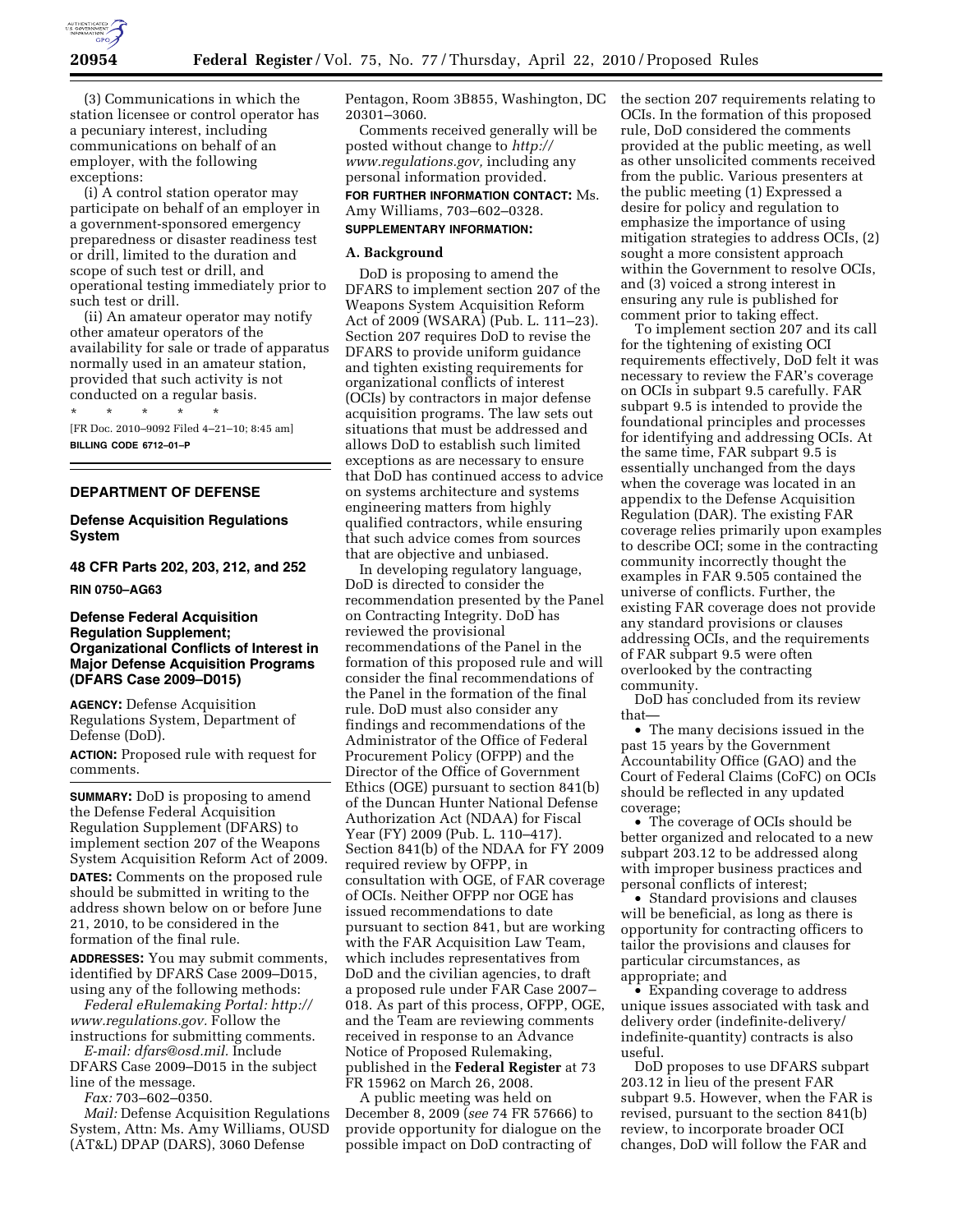

(3) Communications in which the station licensee or control operator has a pecuniary interest, including communications on behalf of an employer, with the following exceptions:

(i) A control station operator may participate on behalf of an employer in a government-sponsored emergency preparedness or disaster readiness test or drill, limited to the duration and scope of such test or drill, and operational testing immediately prior to such test or drill.

(ii) An amateur operator may notify other amateur operators of the availability for sale or trade of apparatus normally used in an amateur station, provided that such activity is not conducted on a regular basis.

\* \* \* \* \* [FR Doc. 2010–9092 Filed 4–21–10; 8:45 am] **BILLING CODE 6712–01–P** 

### **DEPARTMENT OF DEFENSE**

### **Defense Acquisition Regulations System**

## **48 CFR Parts 202, 203, 212, and 252**

### **RIN 0750–AG63**

### **Defense Federal Acquisition Regulation Supplement; Organizational Conflicts of Interest in Major Defense Acquisition Programs (DFARS Case 2009–D015)**

**AGENCY:** Defense Acquisition Regulations System, Department of Defense (DoD).

**ACTION:** Proposed rule with request for comments.

**SUMMARY:** DoD is proposing to amend the Defense Federal Acquisition Regulation Supplement (DFARS) to implement section 207 of the Weapons System Acquisition Reform Act of 2009.

**DATES:** Comments on the proposed rule should be submitted in writing to the address shown below on or before June 21, 2010, to be considered in the formation of the final rule.

**ADDRESSES:** You may submit comments, identified by DFARS Case 2009–D015, using any of the following methods:

*Federal eRulemaking Portal: http:// www.regulations.gov.* Follow the instructions for submitting comments.

*E-mail: dfars@osd.mil.* Include DFARS Case 2009–D015 in the subject line of the message.

*Fax:* 703–602–0350.

*Mail:* Defense Acquisition Regulations System, Attn: Ms. Amy Williams, OUSD (AT&L) DPAP (DARS), 3060 Defense

Pentagon, Room 3B855, Washington, DC 20301–3060.

Comments received generally will be posted without change to *http:// www.regulations.gov,* including any

personal information provided. **FOR FURTHER INFORMATION CONTACT:** Ms. Amy Williams, 703–602–0328.

#### **SUPPLEMENTARY INFORMATION:**

### **A. Background**

DoD is proposing to amend the DFARS to implement section 207 of the Weapons System Acquisition Reform Act of 2009 (WSARA) (Pub. L. 111–23). Section 207 requires DoD to revise the DFARS to provide uniform guidance and tighten existing requirements for organizational conflicts of interest (OCIs) by contractors in major defense acquisition programs. The law sets out situations that must be addressed and allows DoD to establish such limited exceptions as are necessary to ensure that DoD has continued access to advice on systems architecture and systems engineering matters from highly qualified contractors, while ensuring that such advice comes from sources that are objective and unbiased.

In developing regulatory language, DoD is directed to consider the recommendation presented by the Panel on Contracting Integrity. DoD has reviewed the provisional recommendations of the Panel in the formation of this proposed rule and will consider the final recommendations of the Panel in the formation of the final rule. DoD must also consider any findings and recommendations of the Administrator of the Office of Federal Procurement Policy (OFPP) and the Director of the Office of Government Ethics (OGE) pursuant to section 841(b) of the Duncan Hunter National Defense Authorization Act (NDAA) for Fiscal Year (FY) 2009 (Pub. L. 110–417). Section 841(b) of the NDAA for FY 2009 required review by OFPP, in consultation with OGE, of FAR coverage of OCIs. Neither OFPP nor OGE has issued recommendations to date pursuant to section 841, but are working with the FAR Acquisition Law Team, which includes representatives from DoD and the civilian agencies, to draft a proposed rule under FAR Case 2007– 018. As part of this process, OFPP, OGE, and the Team are reviewing comments received in response to an Advance Notice of Proposed Rulemaking, published in the **Federal Register** at 73 FR 15962 on March 26, 2008.

A public meeting was held on December 8, 2009 (*see* 74 FR 57666) to provide opportunity for dialogue on the possible impact on DoD contracting of

the section 207 requirements relating to OCIs. In the formation of this proposed rule, DoD considered the comments provided at the public meeting, as well as other unsolicited comments received from the public. Various presenters at the public meeting (1) Expressed a desire for policy and regulation to emphasize the importance of using mitigation strategies to address OCIs, (2) sought a more consistent approach within the Government to resolve OCIs, and (3) voiced a strong interest in ensuring any rule is published for comment prior to taking effect.

To implement section 207 and its call for the tightening of existing OCI requirements effectively, DoD felt it was necessary to review the FAR's coverage on OCIs in subpart 9.5 carefully. FAR subpart 9.5 is intended to provide the foundational principles and processes for identifying and addressing OCIs. At the same time, FAR subpart 9.5 is essentially unchanged from the days when the coverage was located in an appendix to the Defense Acquisition Regulation (DAR). The existing FAR coverage relies primarily upon examples to describe OCI; some in the contracting community incorrectly thought the examples in FAR 9.505 contained the universe of conflicts. Further, the existing FAR coverage does not provide any standard provisions or clauses addressing OCIs, and the requirements of FAR subpart 9.5 were often overlooked by the contracting community.

DoD has concluded from its review that—

• The many decisions issued in the past 15 years by the Government Accountability Office (GAO) and the Court of Federal Claims (CoFC) on OCIs should be reflected in any updated coverage;

• The coverage of OCIs should be better organized and relocated to a new subpart 203.12 to be addressed along with improper business practices and personal conflicts of interest;

• Standard provisions and clauses will be beneficial, as long as there is opportunity for contracting officers to tailor the provisions and clauses for particular circumstances, as appropriate; and

• Expanding coverage to address unique issues associated with task and delivery order (indefinite-delivery/ indefinite-quantity) contracts is also useful.

DoD proposes to use DFARS subpart 203.12 in lieu of the present FAR subpart 9.5. However, when the FAR is revised, pursuant to the section 841(b) review, to incorporate broader OCI changes, DoD will follow the FAR and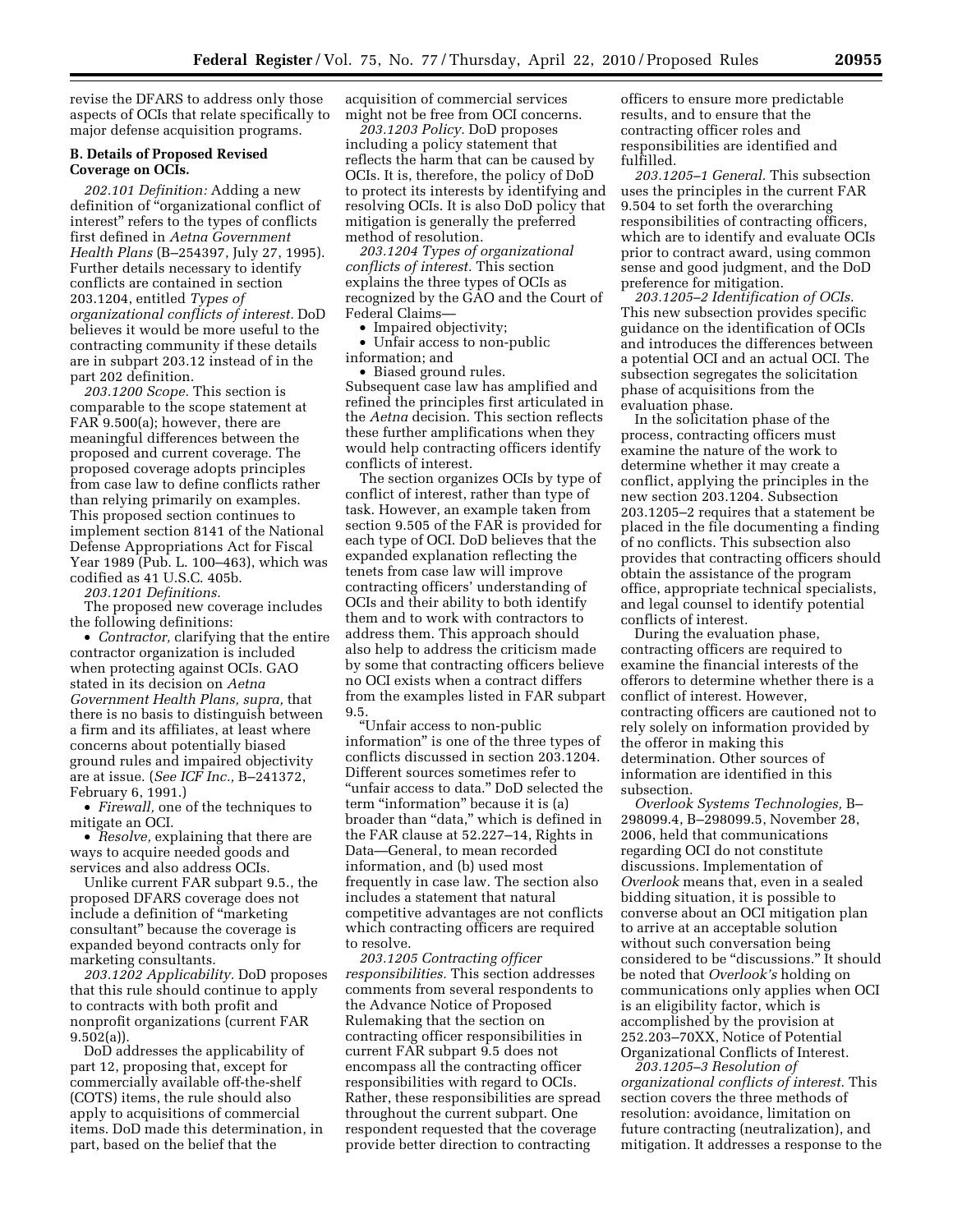revise the DFARS to address only those aspects of OCIs that relate specifically to major defense acquisition programs.

### **B. Details of Proposed Revised Coverage on OCIs.**

*202.101 Definition:* Adding a new definition of ''organizational conflict of interest'' refers to the types of conflicts first defined in *Aetna Government Health Plans* (B–254397, July 27, 1995). Further details necessary to identify conflicts are contained in section 203.1204, entitled *Types of organizational conflicts of interest.* DoD believes it would be more useful to the contracting community if these details are in subpart 203.12 instead of in the part 202 definition.

*203.1200 Scope.* This section is comparable to the scope statement at FAR 9.500(a); however, there are meaningful differences between the proposed and current coverage. The proposed coverage adopts principles from case law to define conflicts rather than relying primarily on examples. This proposed section continues to implement section 8141 of the National Defense Appropriations Act for Fiscal Year 1989 (Pub. L. 100–463), which was codified as 41 U.S.C. 405b.

*203.1201 Definitions.* 

The proposed new coverage includes the following definitions:

• *Contractor,* clarifying that the entire contractor organization is included when protecting against OCIs. GAO stated in its decision on *Aetna Government Health Plans, supra,* that there is no basis to distinguish between a firm and its affiliates, at least where concerns about potentially biased ground rules and impaired objectivity are at issue. (*See ICF Inc.,* B–241372, February 6, 1991.)

• *Firewall,* one of the techniques to mitigate an OCI.

• *Resolve,* explaining that there are ways to acquire needed goods and services and also address OCIs.

Unlike current FAR subpart 9.5., the proposed DFARS coverage does not include a definition of ''marketing consultant'' because the coverage is expanded beyond contracts only for marketing consultants.

*203.1202 Applicability.* DoD proposes that this rule should continue to apply to contracts with both profit and nonprofit organizations (current FAR 9.502(a)).

DoD addresses the applicability of part 12, proposing that, except for commercially available off-the-shelf (COTS) items, the rule should also apply to acquisitions of commercial items. DoD made this determination, in part, based on the belief that the

acquisition of commercial services might not be free from OCI concerns.

*203.1203 Policy.* DoD proposes including a policy statement that reflects the harm that can be caused by OCIs. It is, therefore, the policy of DoD to protect its interests by identifying and resolving OCIs. It is also DoD policy that mitigation is generally the preferred method of resolution.

*203.1204 Types of organizational conflicts of interest.* This section explains the three types of OCIs as recognized by the GAO and the Court of Federal Claims—

• Impaired objectivity;

• Unfair access to non-public information; and

• Biased ground rules. Subsequent case law has amplified and refined the principles first articulated in the *Aetna* decision. This section reflects these further amplifications when they would help contracting officers identify conflicts of interest.

The section organizes OCIs by type of conflict of interest, rather than type of task. However, an example taken from section 9.505 of the FAR is provided for each type of OCI. DoD believes that the expanded explanation reflecting the tenets from case law will improve contracting officers' understanding of OCIs and their ability to both identify them and to work with contractors to address them. This approach should also help to address the criticism made by some that contracting officers believe no OCI exists when a contract differs from the examples listed in FAR subpart 9.5.

''Unfair access to non-public information'' is one of the three types of conflicts discussed in section 203.1204. Different sources sometimes refer to "unfair access to data." DoD selected the term "information" because it is (a) broader than ''data,'' which is defined in the FAR clause at 52.227–14, Rights in Data—General, to mean recorded information, and (b) used most frequently in case law. The section also includes a statement that natural competitive advantages are not conflicts which contracting officers are required to resolve.

*203.1205 Contracting officer responsibilities.* This section addresses comments from several respondents to the Advance Notice of Proposed Rulemaking that the section on contracting officer responsibilities in current FAR subpart 9.5 does not encompass all the contracting officer responsibilities with regard to OCIs. Rather, these responsibilities are spread throughout the current subpart. One respondent requested that the coverage provide better direction to contracting

officers to ensure more predictable results, and to ensure that the contracting officer roles and responsibilities are identified and fulfilled.

*203.1205–1 General.* This subsection uses the principles in the current FAR 9.504 to set forth the overarching responsibilities of contracting officers, which are to identify and evaluate OCIs prior to contract award, using common sense and good judgment, and the DoD preference for mitigation.

*203.1205–2 Identification of OCIs.*  This new subsection provides specific guidance on the identification of OCIs and introduces the differences between a potential OCI and an actual OCI. The subsection segregates the solicitation phase of acquisitions from the evaluation phase.

In the solicitation phase of the process, contracting officers must examine the nature of the work to determine whether it may create a conflict, applying the principles in the new section 203.1204. Subsection 203.1205–2 requires that a statement be placed in the file documenting a finding of no conflicts. This subsection also provides that contracting officers should obtain the assistance of the program office, appropriate technical specialists, and legal counsel to identify potential conflicts of interest.

During the evaluation phase, contracting officers are required to examine the financial interests of the offerors to determine whether there is a conflict of interest. However, contracting officers are cautioned not to rely solely on information provided by the offeror in making this determination. Other sources of information are identified in this subsection.

*Overlook Systems Technologies,* B– 298099.4, B–298099.5, November 28, 2006, held that communications regarding OCI do not constitute discussions. Implementation of *Overlook* means that, even in a sealed bidding situation, it is possible to converse about an OCI mitigation plan to arrive at an acceptable solution without such conversation being considered to be "discussions." It should be noted that *Overlook's* holding on communications only applies when OCI is an eligibility factor, which is accomplished by the provision at 252.203–70XX, Notice of Potential Organizational Conflicts of Interest.

*203.1205–3 Resolution of organizational conflicts of interest.* This section covers the three methods of resolution: avoidance, limitation on future contracting (neutralization), and mitigation. It addresses a response to the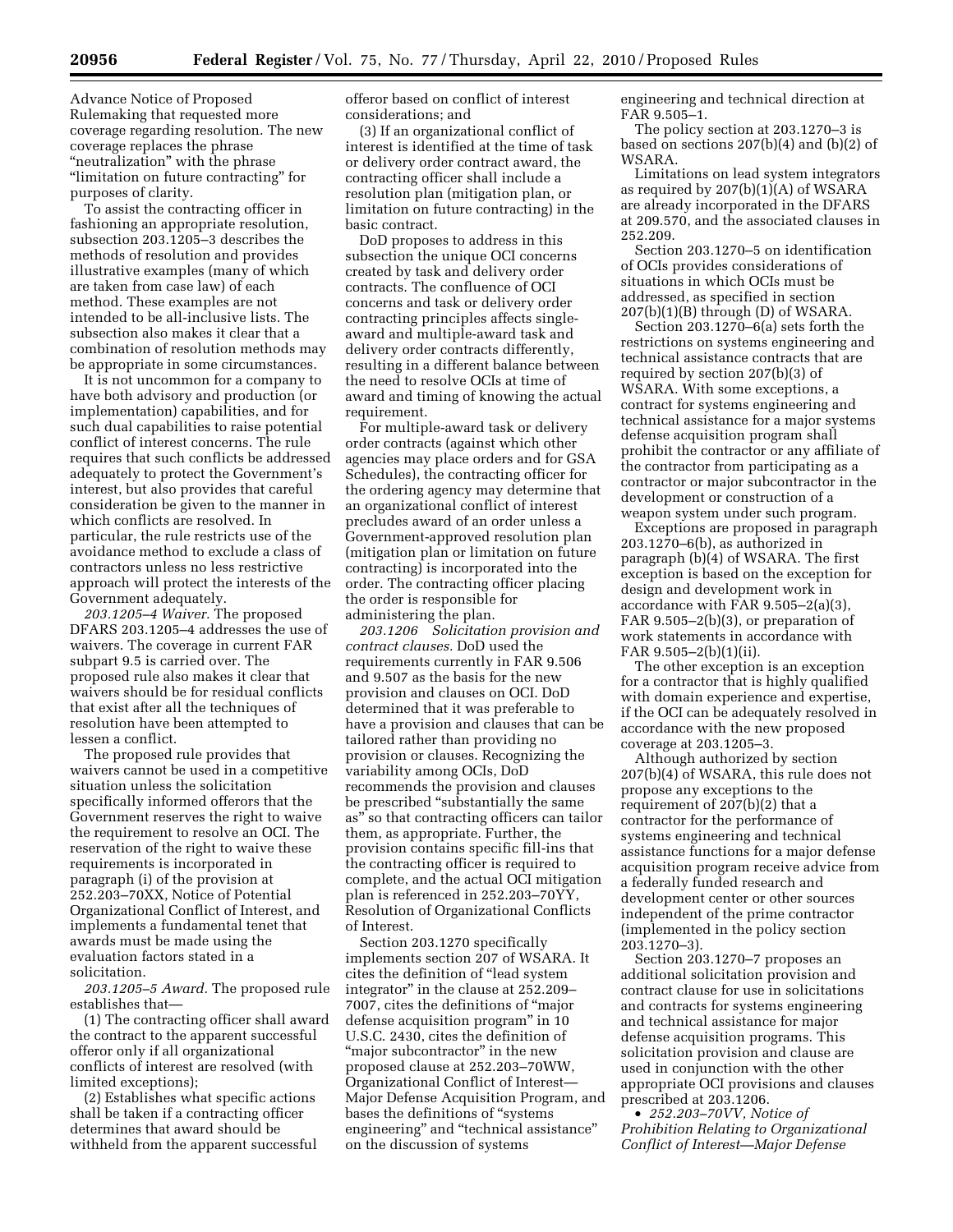Advance Notice of Proposed Rulemaking that requested more coverage regarding resolution. The new coverage replaces the phrase "neutralization" with the phrase ''limitation on future contracting'' for purposes of clarity.

To assist the contracting officer in fashioning an appropriate resolution, subsection 203.1205–3 describes the methods of resolution and provides illustrative examples (many of which are taken from case law) of each method. These examples are not intended to be all-inclusive lists. The subsection also makes it clear that a combination of resolution methods may be appropriate in some circumstances.

It is not uncommon for a company to have both advisory and production (or implementation) capabilities, and for such dual capabilities to raise potential conflict of interest concerns. The rule requires that such conflicts be addressed adequately to protect the Government's interest, but also provides that careful consideration be given to the manner in which conflicts are resolved. In particular, the rule restricts use of the avoidance method to exclude a class of contractors unless no less restrictive approach will protect the interests of the Government adequately.

*203.1205–4 Waiver.* The proposed DFARS 203.1205–4 addresses the use of waivers. The coverage in current FAR subpart 9.5 is carried over. The proposed rule also makes it clear that waivers should be for residual conflicts that exist after all the techniques of resolution have been attempted to lessen a conflict.

The proposed rule provides that waivers cannot be used in a competitive situation unless the solicitation specifically informed offerors that the Government reserves the right to waive the requirement to resolve an OCI. The reservation of the right to waive these requirements is incorporated in paragraph (i) of the provision at 252.203–70XX, Notice of Potential Organizational Conflict of Interest, and implements a fundamental tenet that awards must be made using the evaluation factors stated in a solicitation.

*203.1205–5 Award.* The proposed rule establishes that—

(1) The contracting officer shall award the contract to the apparent successful offeror only if all organizational conflicts of interest are resolved (with limited exceptions);

(2) Establishes what specific actions shall be taken if a contracting officer determines that award should be withheld from the apparent successful offeror based on conflict of interest considerations; and

(3) If an organizational conflict of interest is identified at the time of task or delivery order contract award, the contracting officer shall include a resolution plan (mitigation plan, or limitation on future contracting) in the basic contract.

DoD proposes to address in this subsection the unique OCI concerns created by task and delivery order contracts. The confluence of OCI concerns and task or delivery order contracting principles affects singleaward and multiple-award task and delivery order contracts differently, resulting in a different balance between the need to resolve OCIs at time of award and timing of knowing the actual requirement.

For multiple-award task or delivery order contracts (against which other agencies may place orders and for GSA Schedules), the contracting officer for the ordering agency may determine that an organizational conflict of interest precludes award of an order unless a Government-approved resolution plan (mitigation plan or limitation on future contracting) is incorporated into the order. The contracting officer placing the order is responsible for administering the plan.

*203.1206 Solicitation provision and contract clauses.* DoD used the requirements currently in FAR 9.506 and 9.507 as the basis for the new provision and clauses on OCI. DoD determined that it was preferable to have a provision and clauses that can be tailored rather than providing no provision or clauses. Recognizing the variability among OCIs, DoD recommends the provision and clauses be prescribed ''substantially the same as'' so that contracting officers can tailor them, as appropriate. Further, the provision contains specific fill-ins that the contracting officer is required to complete, and the actual OCI mitigation plan is referenced in 252.203–70YY, Resolution of Organizational Conflicts of Interest.

Section 203.1270 specifically implements section 207 of WSARA. It cites the definition of ''lead system integrator'' in the clause at 252.209– 7007, cites the definitions of ''major defense acquisition program'' in 10 U.S.C. 2430, cites the definition of "major subcontractor" in the new proposed clause at 252.203–70WW, Organizational Conflict of Interest— Major Defense Acquisition Program, and bases the definitions of ''systems engineering'' and ''technical assistance'' on the discussion of systems

engineering and technical direction at FAR 9.505–1.

The policy section at 203.1270–3 is based on sections 207(b)(4) and (b)(2) of WSARA.

Limitations on lead system integrators as required by 207(b)(1)(A) of WSARA are already incorporated in the DFARS at 209.570, and the associated clauses in 252.209.

Section 203.1270–5 on identification of OCIs provides considerations of situations in which OCIs must be addressed, as specified in section 207(b)(1)(B) through (D) of WSARA.

Section 203.1270–6(a) sets forth the restrictions on systems engineering and technical assistance contracts that are required by section 207(b)(3) of WSARA. With some exceptions, a contract for systems engineering and technical assistance for a major systems defense acquisition program shall prohibit the contractor or any affiliate of the contractor from participating as a contractor or major subcontractor in the development or construction of a weapon system under such program.

Exceptions are proposed in paragraph 203.1270–6(b), as authorized in paragraph (b)(4) of WSARA. The first exception is based on the exception for design and development work in accordance with FAR 9.505–2(a)(3), FAR 9.505–2(b)(3), or preparation of work statements in accordance with FAR 9.505–2(b)(1)(ii).

The other exception is an exception for a contractor that is highly qualified with domain experience and expertise, if the OCI can be adequately resolved in accordance with the new proposed coverage at 203.1205–3.

Although authorized by section 207(b)(4) of WSARA, this rule does not propose any exceptions to the requirement of 207(b)(2) that a contractor for the performance of systems engineering and technical assistance functions for a major defense acquisition program receive advice from a federally funded research and development center or other sources independent of the prime contractor (implemented in the policy section 203.1270–3).

Section 203.1270–7 proposes an additional solicitation provision and contract clause for use in solicitations and contracts for systems engineering and technical assistance for major defense acquisition programs. This solicitation provision and clause are used in conjunction with the other appropriate OCI provisions and clauses prescribed at 203.1206.

• *252.203–70VV, Notice of Prohibition Relating to Organizational Conflict of Interest—Major Defense*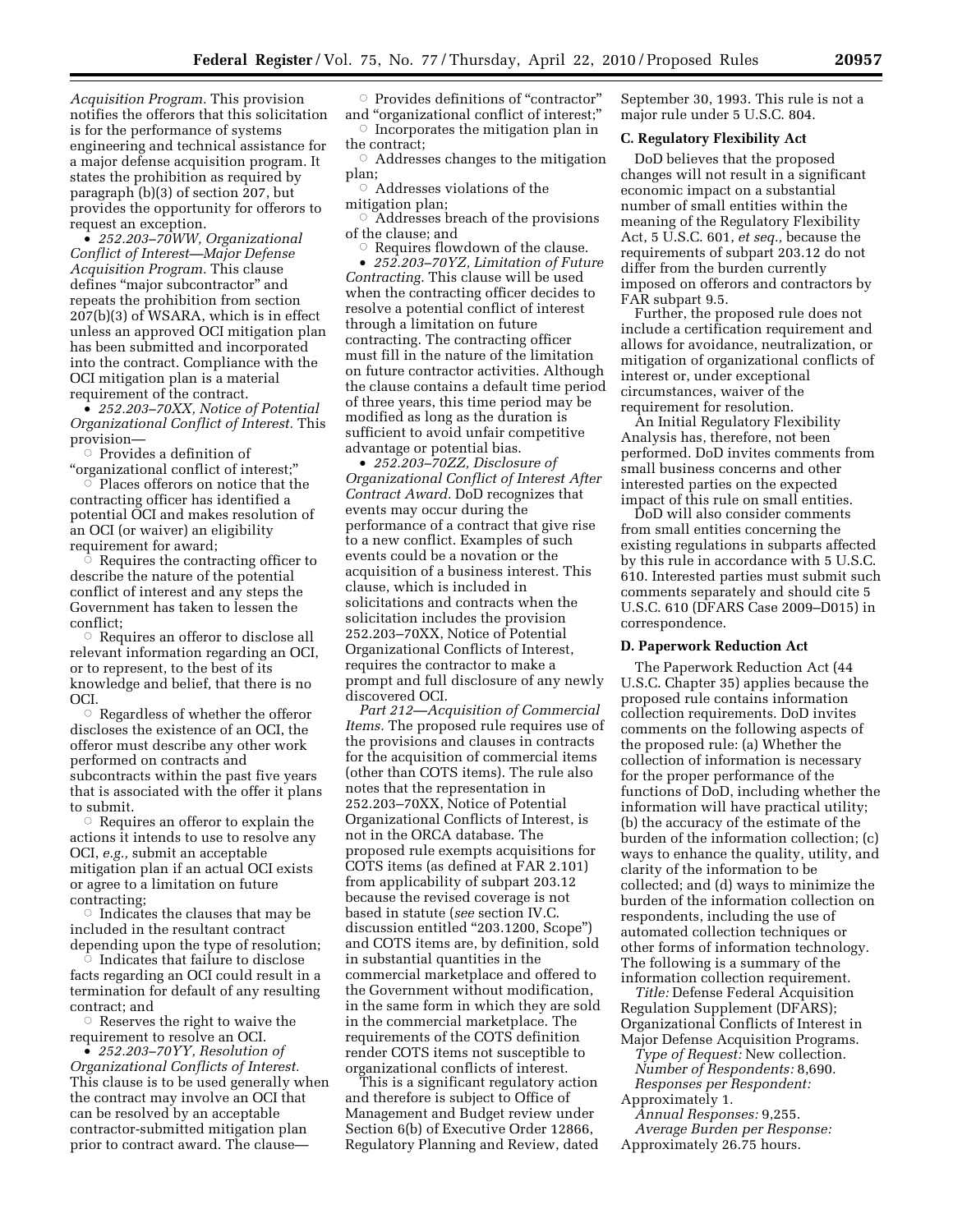*Acquisition Program.* This provision notifies the offerors that this solicitation is for the performance of systems engineering and technical assistance for a major defense acquisition program. It states the prohibition as required by paragraph (b)(3) of section 207, but provides the opportunity for offerors to request an exception.

• *252.203–70WW, Organizational Conflict of Interest—Major Defense Acquisition Program.* This clause defines "major subcontractor" and repeats the prohibition from section 207(b)(3) of WSARA, which is in effect unless an approved OCI mitigation plan has been submitted and incorporated into the contract. Compliance with the OCI mitigation plan is a material requirement of the contract.

• *252.203–70XX, Notice of Potential Organizational Conflict of Interest.* This provision—

 $\circ$  Provides a definition of

 $\lq$  organizational conflict of interest;"<br> $\lq$  Places offerors on notice that th Places offerors on notice that the contracting officer has identified a potential OCI and makes resolution of an OCI (or waiver) an eligibility requirement for award;

 $\circ$  Requires the contracting officer to describe the nature of the potential conflict of interest and any steps the Government has taken to lessen the conflict;

 $\circ$  Requires an offeror to disclose all relevant information regarding an OCI, or to represent, to the best of its knowledge and belief, that there is no OCI.

 $\circ$  Regardless of whether the offeror discloses the existence of an OCI, the offeror must describe any other work performed on contracts and subcontracts within the past five years that is associated with the offer it plans to submit.

 $\circ$  Requires an offeror to explain the actions it intends to use to resolve any OCI, *e.g.,* submit an acceptable mitigation plan if an actual OCI exists or agree to a limitation on future contracting;

 $\circ$  Indicates the clauses that may be included in the resultant contract depending upon the type of resolution;

 $\overline{C}$  Indicates that failure to disclose facts regarding an OCI could result in a termination for default of any resulting contract; and

 $\circ$  Reserves the right to waive the requirement to resolve an OCI.

• *252.203–70YY, Resolution of Organizational Conflicts of Interest.*  This clause is to be used generally when the contract may involve an OCI that can be resolved by an acceptable contractor-submitted mitigation plan prior to contract award. The clause—

 $\circ$  Provides definitions of "contractor" and ''organizational conflict of interest;''  $\circ$  Incorporates the mitigation plan in the contract;

 $\circ$  Addresses changes to the mitigation plan;

 $\circ$  Addresses violations of the

mitigation plan;

 $\circ$  Addresses breach of the provisions of the clause; and

 $\circ$  Requires flowdown of the clause. • *252.203–70YZ, Limitation of Future Contracting.* This clause will be used when the contracting officer decides to resolve a potential conflict of interest through a limitation on future contracting. The contracting officer must fill in the nature of the limitation on future contractor activities. Although the clause contains a default time period of three years, this time period may be modified as long as the duration is sufficient to avoid unfair competitive advantage or potential bias.

• *252.203–70ZZ, Disclosure of Organizational Conflict of Interest After Contract Award.* DoD recognizes that events may occur during the performance of a contract that give rise to a new conflict. Examples of such events could be a novation or the acquisition of a business interest. This clause, which is included in solicitations and contracts when the solicitation includes the provision 252.203–70XX, Notice of Potential Organizational Conflicts of Interest, requires the contractor to make a prompt and full disclosure of any newly discovered OCI.

*Part 212—Acquisition of Commercial Items.* The proposed rule requires use of the provisions and clauses in contracts for the acquisition of commercial items (other than COTS items). The rule also notes that the representation in 252.203–70XX, Notice of Potential Organizational Conflicts of Interest, is not in the ORCA database. The proposed rule exempts acquisitions for COTS items (as defined at FAR 2.101) from applicability of subpart 203.12 because the revised coverage is not based in statute (*see* section IV.C. discussion entitled ''203.1200, Scope'') and COTS items are, by definition, sold in substantial quantities in the commercial marketplace and offered to the Government without modification, in the same form in which they are sold in the commercial marketplace. The requirements of the COTS definition render COTS items not susceptible to organizational conflicts of interest.

This is a significant regulatory action and therefore is subject to Office of Management and Budget review under Section 6(b) of Executive Order 12866, Regulatory Planning and Review, dated September 30, 1993. This rule is not a major rule under 5 U.S.C. 804.

### **C. Regulatory Flexibility Act**

DoD believes that the proposed changes will not result in a significant economic impact on a substantial number of small entities within the meaning of the Regulatory Flexibility Act, 5 U.S.C. 601, *et seq.,* because the requirements of subpart 203.12 do not differ from the burden currently imposed on offerors and contractors by FAR subpart 9.5.

Further, the proposed rule does not include a certification requirement and allows for avoidance, neutralization, or mitigation of organizational conflicts of interest or, under exceptional circumstances, waiver of the requirement for resolution.

An Initial Regulatory Flexibility Analysis has, therefore, not been performed. DoD invites comments from small business concerns and other interested parties on the expected impact of this rule on small entities.

DoD will also consider comments from small entities concerning the existing regulations in subparts affected by this rule in accordance with 5 U.S.C. 610. Interested parties must submit such comments separately and should cite 5 U.S.C. 610 (DFARS Case 2009–D015) in correspondence.

#### **D. Paperwork Reduction Act**

The Paperwork Reduction Act (44 U.S.C. Chapter 35) applies because the proposed rule contains information collection requirements. DoD invites comments on the following aspects of the proposed rule: (a) Whether the collection of information is necessary for the proper performance of the functions of DoD, including whether the information will have practical utility; (b) the accuracy of the estimate of the burden of the information collection; (c) ways to enhance the quality, utility, and clarity of the information to be collected; and (d) ways to minimize the burden of the information collection on respondents, including the use of automated collection techniques or other forms of information technology. The following is a summary of the information collection requirement.

*Title:* Defense Federal Acquisition Regulation Supplement (DFARS); Organizational Conflicts of Interest in Major Defense Acquisition Programs.

*Type of Request:* New collection. *Number of Respondents:* 8,690. *Responses per Respondent:*  Approximately 1.

*Annual Responses:* 9,255. *Average Burden per Response:* 

Approximately 26.75 hours.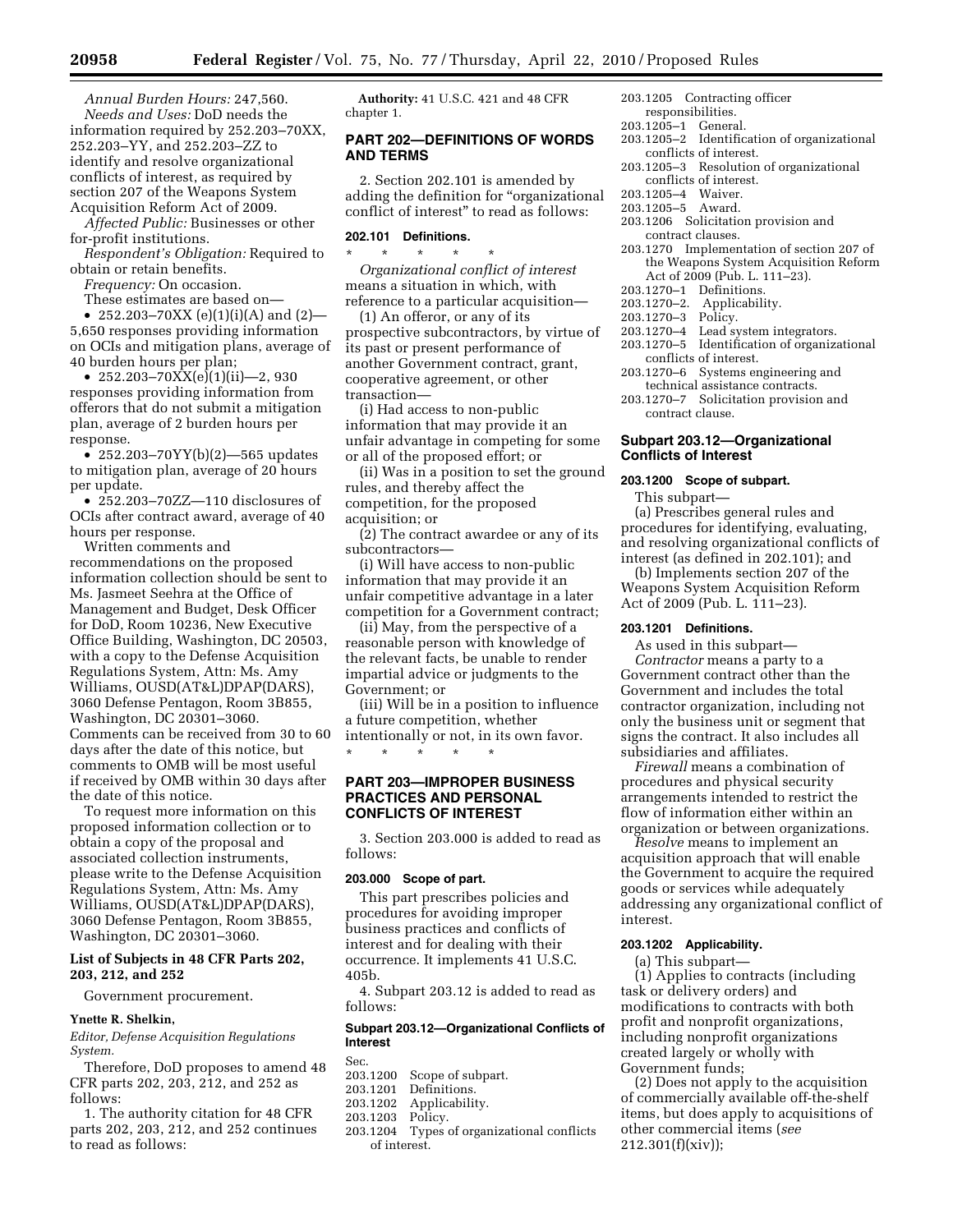*Annual Burden Hours:* 247,560. *Needs and Uses:* DoD needs the information required by 252.203–70XX, 252.203–YY, and 252.203–ZZ to identify and resolve organizational conflicts of interest, as required by section 207 of the Weapons System Acquisition Reform Act of 2009.

*Affected Public:* Businesses or other for-profit institutions.

*Respondent's Obligation:* Required to obtain or retain benefits.

*Frequency:* On occasion.

These estimates are based on— • 252.203–70XX (e)(1)(i)(A) and (2)—

5,650 responses providing information on OCIs and mitigation plans, average of 40 burden hours per plan;

• 252.203-70 $XX(e)(1)(ii)$ —2, 930 responses providing information from offerors that do not submit a mitigation plan, average of 2 burden hours per response.

• 252.203–70YY(b)(2)—565 updates to mitigation plan, average of 20 hours per update.

• 252.203–70ZZ—110 disclosures of OCIs after contract award, average of 40 hours per response.

Written comments and recommendations on the proposed information collection should be sent to Ms. Jasmeet Seehra at the Office of Management and Budget, Desk Officer for DoD, Room 10236, New Executive Office Building, Washington, DC 20503, with a copy to the Defense Acquisition Regulations System, Attn: Ms. Amy Williams, OUSD(AT&L)DPAP(DARS), 3060 Defense Pentagon, Room 3B855, Washington, DC 20301–3060. Comments can be received from 30 to 60 days after the date of this notice, but comments to OMB will be most useful if received by OMB within 30 days after the date of this notice.

To request more information on this proposed information collection or to obtain a copy of the proposal and associated collection instruments, please write to the Defense Acquisition Regulations System, Attn: Ms. Amy Williams, OUSD(AT&L)DPAP(DARS), 3060 Defense Pentagon, Room 3B855, Washington, DC 20301–3060.

### **List of Subjects in 48 CFR Parts 202, 203, 212, and 252**

Government procurement.

#### **Ynette R. Shelkin,**

*Editor, Defense Acquisition Regulations System.* 

Therefore, DoD proposes to amend 48 CFR parts 202, 203, 212, and 252 as follows:

1. The authority citation for 48 CFR parts 202, 203, 212, and 252 continues to read as follows:

**Authority:** 41 U.S.C. 421 and 48 CFR chapter 1.

### **PART 202—DEFINITIONS OF WORDS AND TERMS**

2. Section 202.101 is amended by adding the definition for ''organizational conflict of interest'' to read as follows:

### **202.101 Definitions.**

\* \* \* \* \*

*Organizational conflict of interest*  means a situation in which, with reference to a particular acquisition—

(1) An offeror, or any of its prospective subcontractors, by virtue of its past or present performance of another Government contract, grant, cooperative agreement, or other transaction—

(i) Had access to non-public information that may provide it an unfair advantage in competing for some or all of the proposed effort; or

(ii) Was in a position to set the ground rules, and thereby affect the competition, for the proposed acquisition; or

(2) The contract awardee or any of its subcontractors—

(i) Will have access to non-public information that may provide it an unfair competitive advantage in a later competition for a Government contract;

(ii) May, from the perspective of a reasonable person with knowledge of the relevant facts, be unable to render impartial advice or judgments to the Government; or

(iii) Will be in a position to influence a future competition, whether intentionally or not, in its own favor. \* \* \* \* \*

### **PART 203—IMPROPER BUSINESS PRACTICES AND PERSONAL CONFLICTS OF INTEREST**

3. Section 203.000 is added to read as follows:

### **203.000 Scope of part.**

This part prescribes policies and procedures for avoiding improper business practices and conflicts of interest and for dealing with their occurrence. It implements 41 U.S.C. 405b.

4. Subpart 203.12 is added to read as follows:

### **Subpart 203.12—Organizational Conflicts of Interest**

Sec.<br>203.1200 203.1200 Scope of subpart.<br>203.1201 Definitions.

- 203.1201 Definitions.<br>203.1202 Applicabilit
- Applicability.<br>Policy.
- 203.1203<br>203.1204
	- Types of organizational conflicts of interest.
- 203.1205 Contracting officer
- responsibilities. 203.1205–1 General.
- 
- 203.1205–2 Identification of organizational conflicts of interest.
- 203.1205–3 Resolution of organizational conflicts of interest.
- 203.1205–4 Waiver.
- 203.1205–5 Award.
- 203.1206 Solicitation provision and contract clauses.
- 203.1270 Implementation of section 207 of the Weapons System Acquisition Reform Act of 2009 (Pub. L. 111–23).
- 203.1270–1 Definitions.
- 203.1270–2. Applicability.
- 203.1270–3 Policy.
- Lead system integrators.
- 203.1270–5 Identification of organizational conflicts of interest.
- 
- 203.1270–6 Systems engineering and technical assistance contracts.
- 203.1270–7 Solicitation provision and contract clause.

#### **Subpart 203.12—Organizational Conflicts of Interest**

#### **203.1200 Scope of subpart.**

This subpart—

(a) Prescribes general rules and procedures for identifying, evaluating, and resolving organizational conflicts of interest (as defined in 202.101); and

(b) Implements section 207 of the Weapons System Acquisition Reform Act of 2009 (Pub. L. 111–23).

### **203.1201 Definitions.**

As used in this subpart— *Contractor* means a party to a Government contract other than the Government and includes the total contractor organization, including not only the business unit or segment that signs the contract. It also includes all subsidiaries and affiliates.

*Firewall* means a combination of procedures and physical security arrangements intended to restrict the flow of information either within an organization or between organizations.

*Resolve* means to implement an acquisition approach that will enable the Government to acquire the required goods or services while adequately addressing any organizational conflict of interest.

### **203.1202 Applicability.**

(a) This subpart—

(1) Applies to contracts (including task or delivery orders) and modifications to contracts with both profit and nonprofit organizations, including nonprofit organizations created largely or wholly with Government funds;

(2) Does not apply to the acquisition of commercially available off-the-shelf items, but does apply to acquisitions of other commercial items (*see*  212.301(f)(xiv));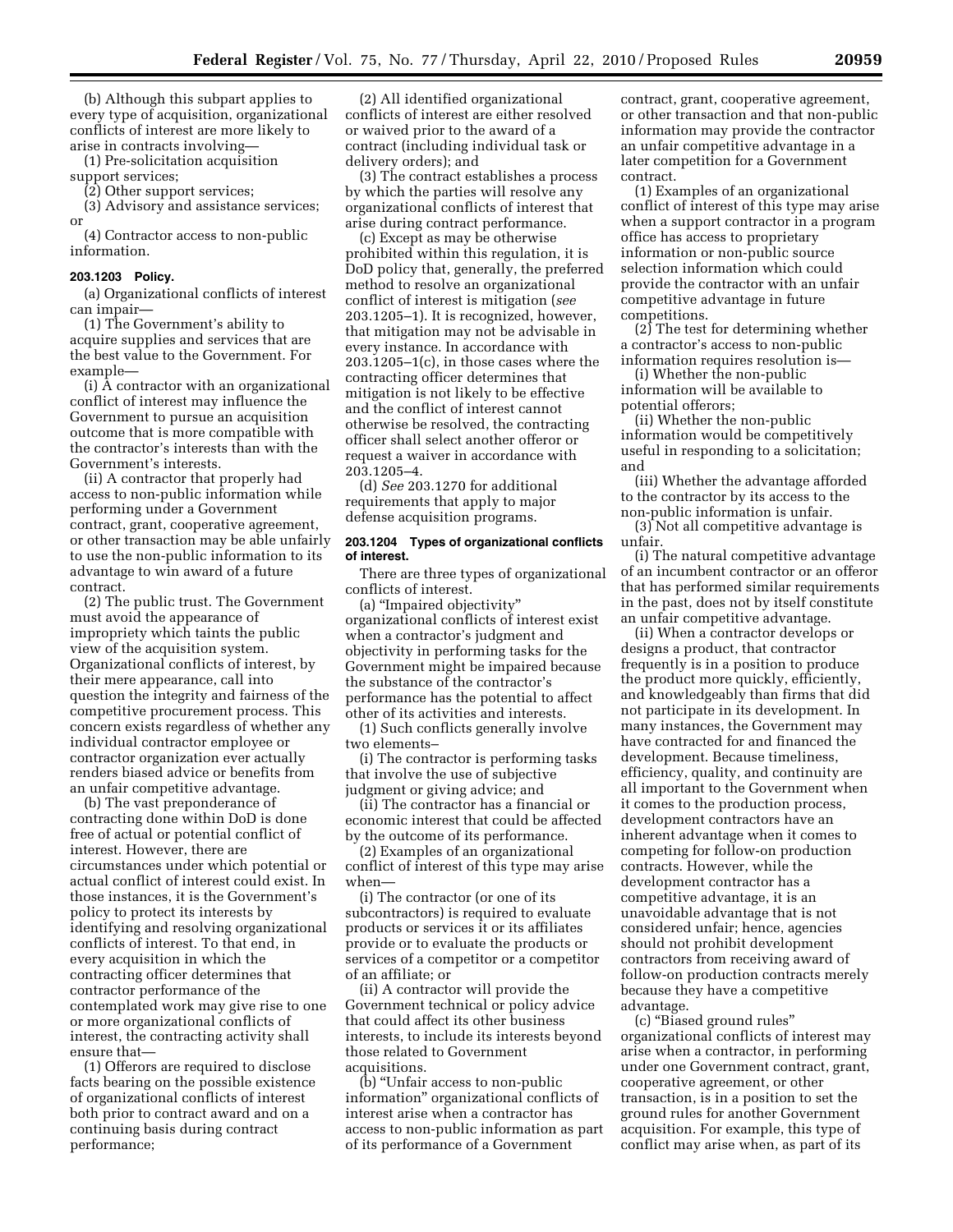(b) Although this subpart applies to every type of acquisition, organizational conflicts of interest are more likely to arise in contracts involving—

(1) Pre-solicitation acquisition support services;

(2) Other support services;

(3) Advisory and assistance services; or

(4) Contractor access to non-public information.

#### **203.1203 Policy.**

(a) Organizational conflicts of interest can impair—

(1) The Government's ability to acquire supplies and services that are the best value to the Government. For example—

(i) A contractor with an organizational conflict of interest may influence the Government to pursue an acquisition outcome that is more compatible with the contractor's interests than with the Government's interests.

(ii) A contractor that properly had access to non-public information while performing under a Government contract, grant, cooperative agreement, or other transaction may be able unfairly to use the non-public information to its advantage to win award of a future contract.

(2) The public trust. The Government must avoid the appearance of impropriety which taints the public view of the acquisition system. Organizational conflicts of interest, by their mere appearance, call into question the integrity and fairness of the competitive procurement process. This concern exists regardless of whether any individual contractor employee or contractor organization ever actually renders biased advice or benefits from an unfair competitive advantage.

(b) The vast preponderance of contracting done within DoD is done free of actual or potential conflict of interest. However, there are circumstances under which potential or actual conflict of interest could exist. In those instances, it is the Government's policy to protect its interests by identifying and resolving organizational conflicts of interest. To that end, in every acquisition in which the contracting officer determines that contractor performance of the contemplated work may give rise to one or more organizational conflicts of interest, the contracting activity shall ensure that—

(1) Offerors are required to disclose facts bearing on the possible existence of organizational conflicts of interest both prior to contract award and on a continuing basis during contract performance;

(2) All identified organizational conflicts of interest are either resolved or waived prior to the award of a contract (including individual task or delivery orders); and

(3) The contract establishes a process by which the parties will resolve any organizational conflicts of interest that arise during contract performance.

(c) Except as may be otherwise prohibited within this regulation, it is DoD policy that, generally, the preferred method to resolve an organizational conflict of interest is mitigation (*see*  203.1205–1). It is recognized, however, that mitigation may not be advisable in every instance. In accordance with 203.1205–1(c), in those cases where the contracting officer determines that mitigation is not likely to be effective and the conflict of interest cannot otherwise be resolved, the contracting officer shall select another offeror or request a waiver in accordance with 203.1205–4.

(d) *See* 203.1270 for additional requirements that apply to major defense acquisition programs.

#### **203.1204 Types of organizational conflicts of interest.**

There are three types of organizational conflicts of interest.

(a) ''Impaired objectivity'' organizational conflicts of interest exist when a contractor's judgment and objectivity in performing tasks for the Government might be impaired because the substance of the contractor's performance has the potential to affect other of its activities and interests.

(1) Such conflicts generally involve two elements–

(i) The contractor is performing tasks that involve the use of subjective judgment or giving advice; and

(ii) The contractor has a financial or economic interest that could be affected by the outcome of its performance.

(2) Examples of an organizational conflict of interest of this type may arise when—

(i) The contractor (or one of its subcontractors) is required to evaluate products or services it or its affiliates provide or to evaluate the products or services of a competitor or a competitor of an affiliate; or

(ii) A contractor will provide the Government technical or policy advice that could affect its other business interests, to include its interests beyond those related to Government acquisitions.

(b) ''Unfair access to non-public information'' organizational conflicts of interest arise when a contractor has access to non-public information as part of its performance of a Government

contract, grant, cooperative agreement, or other transaction and that non-public information may provide the contractor an unfair competitive advantage in a later competition for a Government contract.

(1) Examples of an organizational conflict of interest of this type may arise when a support contractor in a program office has access to proprietary information or non-public source selection information which could provide the contractor with an unfair competitive advantage in future competitions.

(2) The test for determining whether a contractor's access to non-public information requires resolution is—

(i) Whether the non-public information will be available to potential offerors;

(ii) Whether the non-public information would be competitively useful in responding to a solicitation; and

(iii) Whether the advantage afforded to the contractor by its access to the non-public information is unfair.

(3) Not all competitive advantage is unfair.

(i) The natural competitive advantage of an incumbent contractor or an offeror that has performed similar requirements in the past, does not by itself constitute an unfair competitive advantage.

(ii) When a contractor develops or designs a product, that contractor frequently is in a position to produce the product more quickly, efficiently, and knowledgeably than firms that did not participate in its development. In many instances, the Government may have contracted for and financed the development. Because timeliness, efficiency, quality, and continuity are all important to the Government when it comes to the production process, development contractors have an inherent advantage when it comes to competing for follow-on production contracts. However, while the development contractor has a competitive advantage, it is an unavoidable advantage that is not considered unfair; hence, agencies should not prohibit development contractors from receiving award of follow-on production contracts merely because they have a competitive advantage.

(c) ''Biased ground rules'' organizational conflicts of interest may arise when a contractor, in performing under one Government contract, grant, cooperative agreement, or other transaction, is in a position to set the ground rules for another Government acquisition. For example, this type of conflict may arise when, as part of its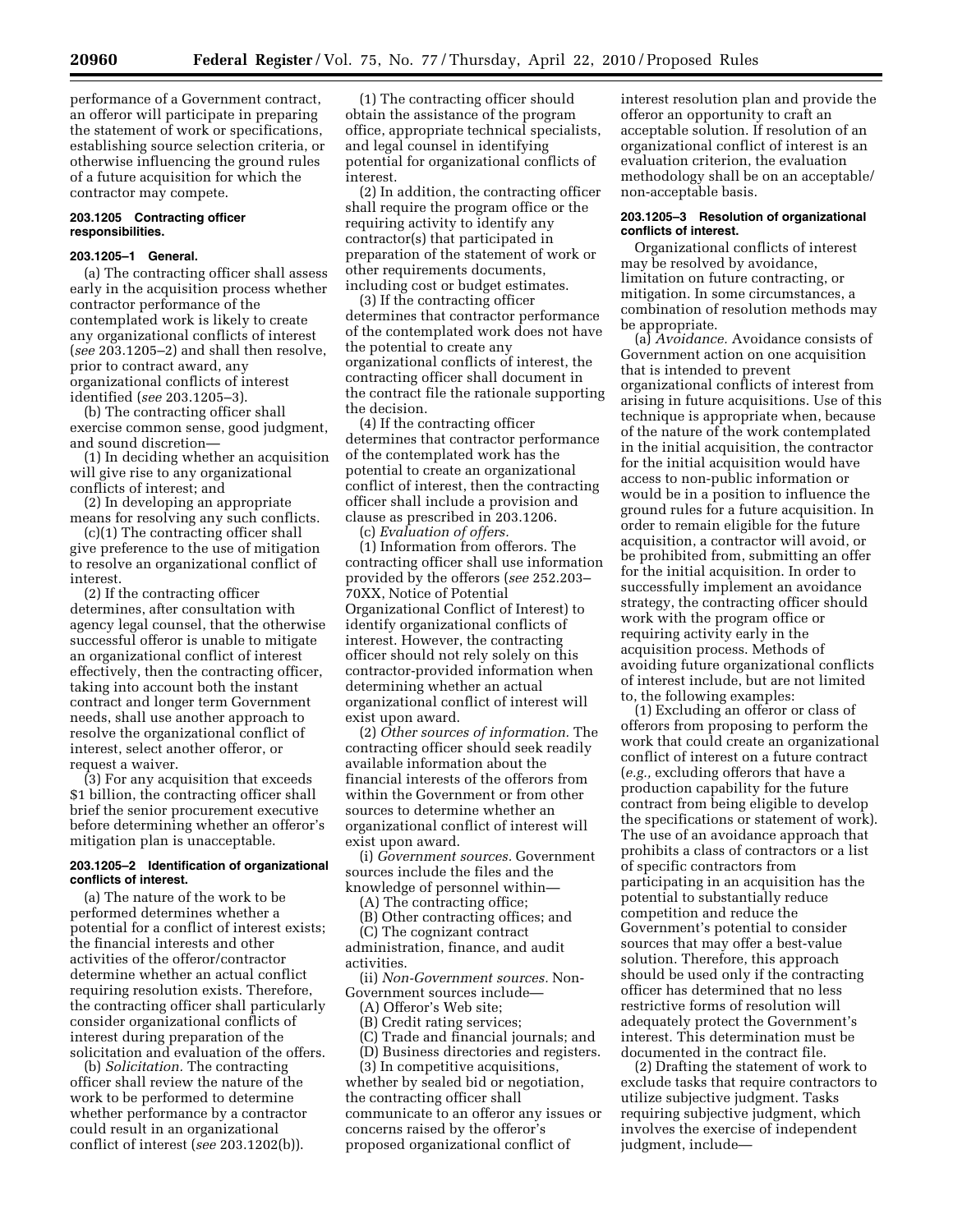performance of a Government contract, an offeror will participate in preparing the statement of work or specifications, establishing source selection criteria, or otherwise influencing the ground rules of a future acquisition for which the contractor may compete.

#### **203.1205 Contracting officer responsibilities.**

#### **203.1205–1 General.**

(a) The contracting officer shall assess early in the acquisition process whether contractor performance of the contemplated work is likely to create any organizational conflicts of interest (*see* 203.1205–2) and shall then resolve, prior to contract award, any organizational conflicts of interest identified (*see* 203.1205–3).

(b) The contracting officer shall exercise common sense, good judgment, and sound discretion—

(1) In deciding whether an acquisition will give rise to any organizational conflicts of interest; and

(2) In developing an appropriate means for resolving any such conflicts.

(c)(1) The contracting officer shall give preference to the use of mitigation to resolve an organizational conflict of interest.

(2) If the contracting officer determines, after consultation with agency legal counsel, that the otherwise successful offeror is unable to mitigate an organizational conflict of interest effectively, then the contracting officer, taking into account both the instant contract and longer term Government needs, shall use another approach to resolve the organizational conflict of interest, select another offeror, or request a waiver.

(3) For any acquisition that exceeds \$1 billion, the contracting officer shall brief the senior procurement executive before determining whether an offeror's mitigation plan is unacceptable.

#### **203.1205–2 Identification of organizational conflicts of interest.**

(a) The nature of the work to be performed determines whether a potential for a conflict of interest exists; the financial interests and other activities of the offeror/contractor determine whether an actual conflict requiring resolution exists. Therefore, the contracting officer shall particularly consider organizational conflicts of interest during preparation of the solicitation and evaluation of the offers.

(b) *Solicitation.* The contracting officer shall review the nature of the work to be performed to determine whether performance by a contractor could result in an organizational conflict of interest (*see* 203.1202(b)).

(1) The contracting officer should obtain the assistance of the program office, appropriate technical specialists, and legal counsel in identifying potential for organizational conflicts of interest.

(2) In addition, the contracting officer shall require the program office or the requiring activity to identify any contractor(s) that participated in preparation of the statement of work or other requirements documents, including cost or budget estimates.

(3) If the contracting officer determines that contractor performance of the contemplated work does not have the potential to create any organizational conflicts of interest, the contracting officer shall document in the contract file the rationale supporting the decision.

(4) If the contracting officer determines that contractor performance of the contemplated work has the potential to create an organizational conflict of interest, then the contracting officer shall include a provision and clause as prescribed in 203.1206.

(c) *Evaluation of offers.*  (1) Information from offerors. The contracting officer shall use information provided by the offerors (*see* 252.203– 70XX, Notice of Potential Organizational Conflict of Interest) to identify organizational conflicts of interest. However, the contracting officer should not rely solely on this contractor-provided information when determining whether an actual organizational conflict of interest will exist upon award.

(2) *Other sources of information.* The contracting officer should seek readily available information about the financial interests of the offerors from within the Government or from other sources to determine whether an organizational conflict of interest will exist upon award.

(i) *Government sources.* Government sources include the files and the knowledge of personnel within—

(A) The contracting office;

(B) Other contracting offices; and (C) The cognizant contract administration, finance, and audit activities.

(ii) *Non-Government sources.* Non-Government sources include—

(A) Offeror's Web site;

(B) Credit rating services;

(C) Trade and financial journals; and (D) Business directories and registers.

(3) In competitive acquisitions, whether by sealed bid or negotiation, the contracting officer shall communicate to an offeror any issues or concerns raised by the offeror's proposed organizational conflict of

interest resolution plan and provide the offeror an opportunity to craft an acceptable solution. If resolution of an organizational conflict of interest is an evaluation criterion, the evaluation methodology shall be on an acceptable/ non-acceptable basis.

#### **203.1205–3 Resolution of organizational conflicts of interest.**

Organizational conflicts of interest may be resolved by avoidance, limitation on future contracting, or mitigation. In some circumstances, a combination of resolution methods may be appropriate.

(a) *Avoidance.* Avoidance consists of Government action on one acquisition that is intended to prevent organizational conflicts of interest from arising in future acquisitions. Use of this technique is appropriate when, because of the nature of the work contemplated in the initial acquisition, the contractor for the initial acquisition would have access to non-public information or would be in a position to influence the ground rules for a future acquisition. In order to remain eligible for the future acquisition, a contractor will avoid, or be prohibited from, submitting an offer for the initial acquisition. In order to successfully implement an avoidance strategy, the contracting officer should work with the program office or requiring activity early in the acquisition process. Methods of avoiding future organizational conflicts of interest include, but are not limited to, the following examples:

(1) Excluding an offeror or class of offerors from proposing to perform the work that could create an organizational conflict of interest on a future contract (*e.g.,* excluding offerors that have a production capability for the future contract from being eligible to develop the specifications or statement of work). The use of an avoidance approach that prohibits a class of contractors or a list of specific contractors from participating in an acquisition has the potential to substantially reduce competition and reduce the Government's potential to consider sources that may offer a best-value solution. Therefore, this approach should be used only if the contracting officer has determined that no less restrictive forms of resolution will adequately protect the Government's interest. This determination must be documented in the contract file.

(2) Drafting the statement of work to exclude tasks that require contractors to utilize subjective judgment. Tasks requiring subjective judgment, which involves the exercise of independent judgment, include—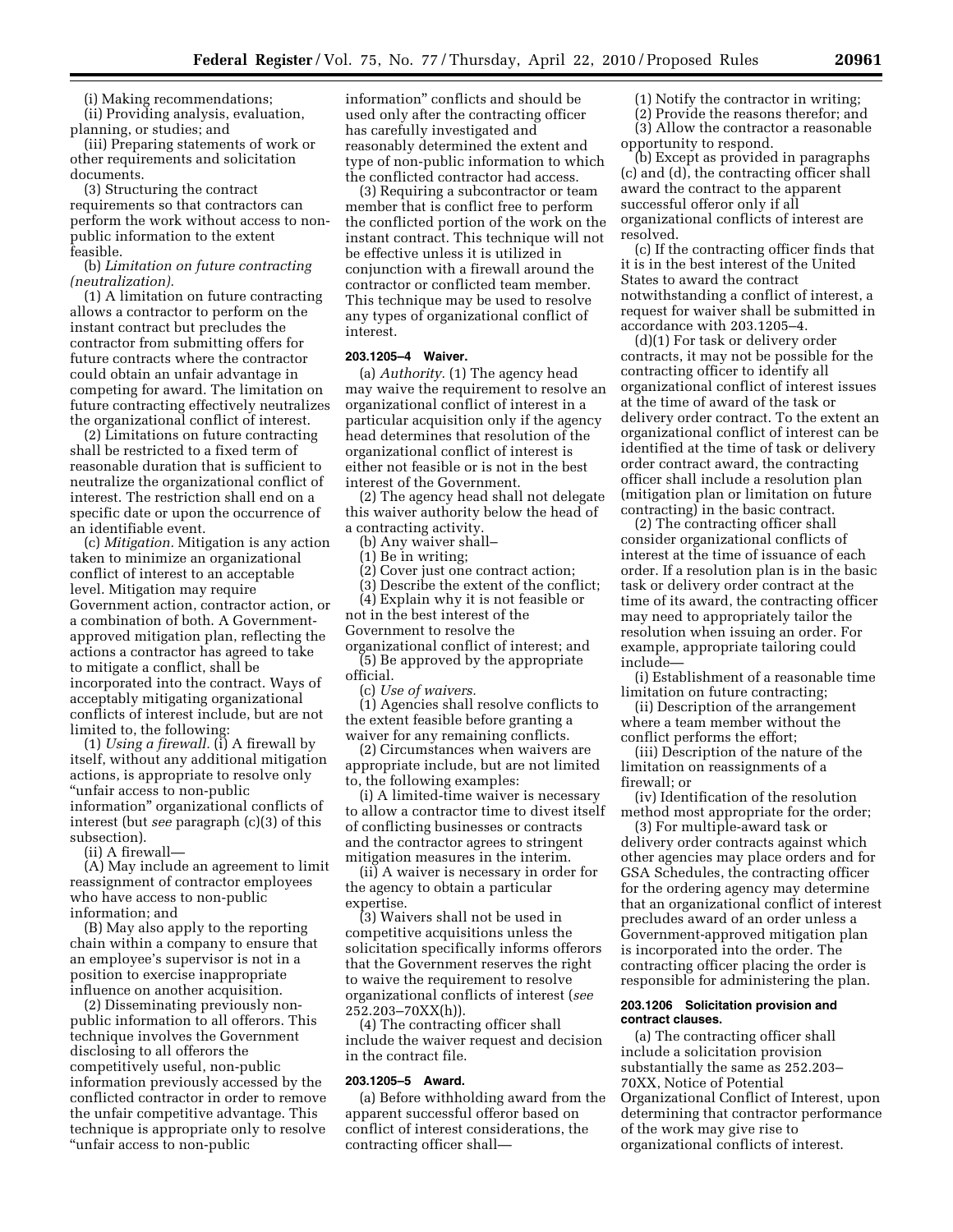(i) Making recommendations; (ii) Providing analysis, evaluation, planning, or studies; and

(iii) Preparing statements of work or other requirements and solicitation documents.

(3) Structuring the contract requirements so that contractors can perform the work without access to nonpublic information to the extent feasible.

(b) *Limitation on future contracting (neutralization).* 

(1) A limitation on future contracting allows a contractor to perform on the instant contract but precludes the contractor from submitting offers for future contracts where the contractor could obtain an unfair advantage in competing for award. The limitation on future contracting effectively neutralizes the organizational conflict of interest.

(2) Limitations on future contracting shall be restricted to a fixed term of reasonable duration that is sufficient to neutralize the organizational conflict of interest. The restriction shall end on a specific date or upon the occurrence of an identifiable event.

(c) *Mitigation.* Mitigation is any action taken to minimize an organizational conflict of interest to an acceptable level. Mitigation may require Government action, contractor action, or a combination of both. A Governmentapproved mitigation plan, reflecting the actions a contractor has agreed to take to mitigate a conflict, shall be incorporated into the contract. Ways of acceptably mitigating organizational conflicts of interest include, but are not limited to, the following:

(1) *Using a firewall.* (i) A firewall by itself, without any additional mitigation actions, is appropriate to resolve only ''unfair access to non-public information'' organizational conflicts of interest (but *see* paragraph (c)(3) of this subsection).

(ii) A firewall—

(A) May include an agreement to limit reassignment of contractor employees who have access to non-public information; and

(B) May also apply to the reporting chain within a company to ensure that an employee's supervisor is not in a position to exercise inappropriate influence on another acquisition.

(2) Disseminating previously nonpublic information to all offerors. This technique involves the Government disclosing to all offerors the competitively useful, non-public information previously accessed by the conflicted contractor in order to remove the unfair competitive advantage. This technique is appropriate only to resolve ''unfair access to non-public

information'' conflicts and should be used only after the contracting officer has carefully investigated and reasonably determined the extent and type of non-public information to which the conflicted contractor had access.

(3) Requiring a subcontractor or team member that is conflict free to perform the conflicted portion of the work on the instant contract. This technique will not be effective unless it is utilized in conjunction with a firewall around the contractor or conflicted team member. This technique may be used to resolve any types of organizational conflict of interest.

### **203.1205–4 Waiver.**

(a) *Authority.* (1) The agency head may waive the requirement to resolve an organizational conflict of interest in a particular acquisition only if the agency head determines that resolution of the organizational conflict of interest is either not feasible or is not in the best interest of the Government.

(2) The agency head shall not delegate this waiver authority below the head of a contracting activity.

(b) Any waiver shall–

(1) Be in writing;

(2) Cover just one contract action;

(3) Describe the extent of the conflict;

(4) Explain why it is not feasible or

not in the best interest of the

Government to resolve the

organizational conflict of interest; and (5) Be approved by the appropriate official.

(c) *Use of waivers.* 

(1) Agencies shall resolve conflicts to the extent feasible before granting a waiver for any remaining conflicts.

(2) Circumstances when waivers are appropriate include, but are not limited to, the following examples:

(i) A limited-time waiver is necessary to allow a contractor time to divest itself of conflicting businesses or contracts and the contractor agrees to stringent mitigation measures in the interim.

(ii) A waiver is necessary in order for the agency to obtain a particular expertise.

(3) Waivers shall not be used in competitive acquisitions unless the solicitation specifically informs offerors that the Government reserves the right to waive the requirement to resolve organizational conflicts of interest (*see*  252.203–70XX(h)).

(4) The contracting officer shall include the waiver request and decision in the contract file.

#### **203.1205–5 Award.**

(a) Before withholding award from the apparent successful offeror based on conflict of interest considerations, the contracting officer shall(1) Notify the contractor in writing;

(2) Provide the reasons therefor; and (3) Allow the contractor a reasonable opportunity to respond.

(b) Except as provided in paragraphs (c) and (d), the contracting officer shall award the contract to the apparent successful offeror only if all organizational conflicts of interest are resolved.

(c) If the contracting officer finds that it is in the best interest of the United States to award the contract notwithstanding a conflict of interest, a request for waiver shall be submitted in accordance with 203.1205–4.

(d)(1) For task or delivery order contracts, it may not be possible for the contracting officer to identify all organizational conflict of interest issues at the time of award of the task or delivery order contract. To the extent an organizational conflict of interest can be identified at the time of task or delivery order contract award, the contracting officer shall include a resolution plan (mitigation plan or limitation on future contracting) in the basic contract.

(2) The contracting officer shall consider organizational conflicts of interest at the time of issuance of each order. If a resolution plan is in the basic task or delivery order contract at the time of its award, the contracting officer may need to appropriately tailor the resolution when issuing an order. For example, appropriate tailoring could include—

(i) Establishment of a reasonable time limitation on future contracting;

(ii) Description of the arrangement where a team member without the conflict performs the effort;

(iii) Description of the nature of the limitation on reassignments of a firewall; or

(iv) Identification of the resolution method most appropriate for the order;

(3) For multiple-award task or delivery order contracts against which other agencies may place orders and for GSA Schedules, the contracting officer for the ordering agency may determine that an organizational conflict of interest precludes award of an order unless a Government-approved mitigation plan is incorporated into the order. The contracting officer placing the order is responsible for administering the plan.

#### **203.1206 Solicitation provision and contract clauses.**

(a) The contracting officer shall include a solicitation provision substantially the same as 252.203– 70XX, Notice of Potential Organizational Conflict of Interest, upon determining that contractor performance of the work may give rise to organizational conflicts of interest.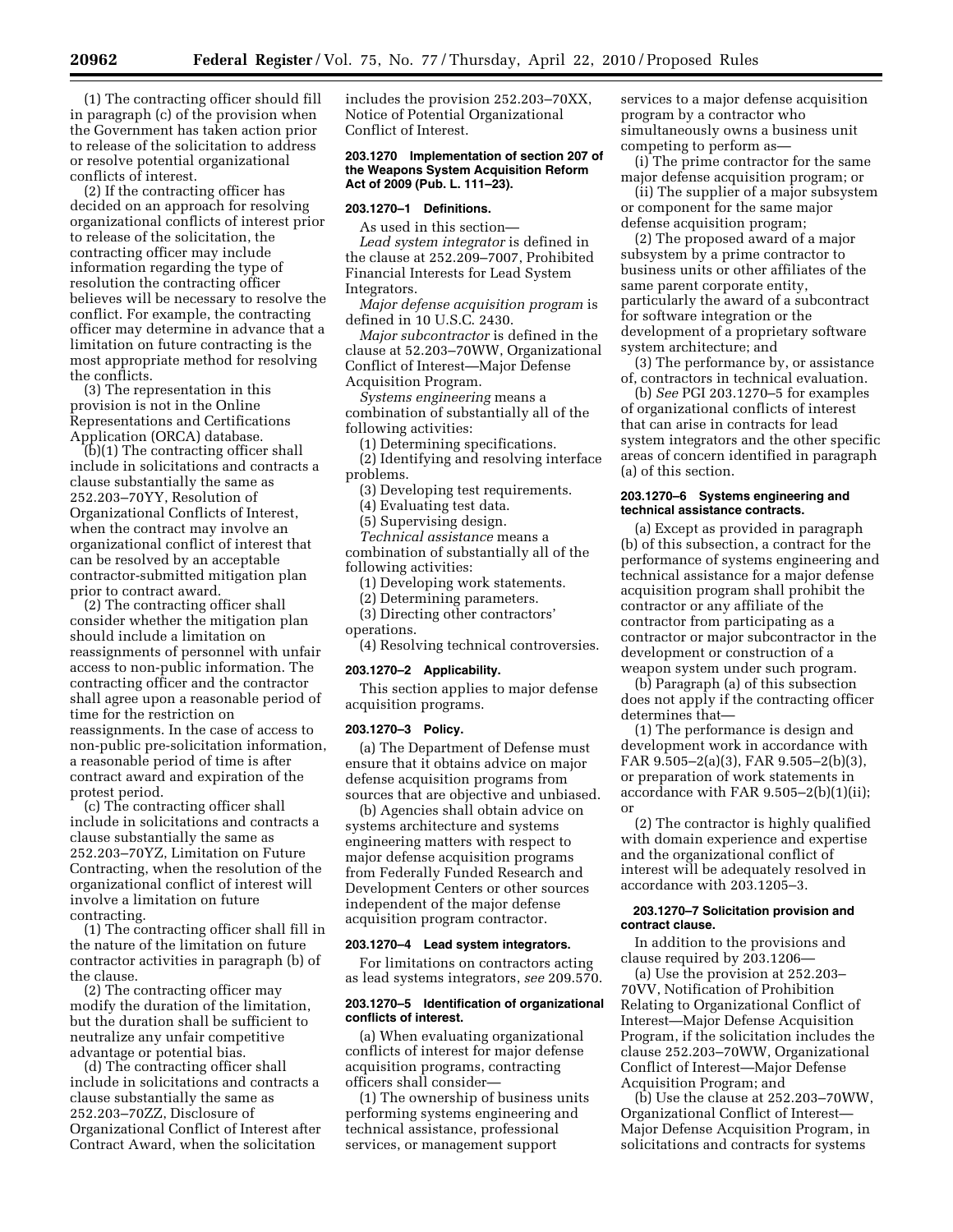(1) The contracting officer should fill in paragraph (c) of the provision when the Government has taken action prior to release of the solicitation to address or resolve potential organizational conflicts of interest.

(2) If the contracting officer has decided on an approach for resolving organizational conflicts of interest prior to release of the solicitation, the contracting officer may include information regarding the type of resolution the contracting officer believes will be necessary to resolve the conflict. For example, the contracting officer may determine in advance that a limitation on future contracting is the most appropriate method for resolving the conflicts.

(3) The representation in this provision is not in the Online Representations and Certifications Application (ORCA) database.

(b)(1) The contracting officer shall include in solicitations and contracts a clause substantially the same as 252.203–70YY, Resolution of Organizational Conflicts of Interest, when the contract may involve an organizational conflict of interest that can be resolved by an acceptable contractor-submitted mitigation plan prior to contract award.

(2) The contracting officer shall consider whether the mitigation plan should include a limitation on reassignments of personnel with unfair access to non-public information. The contracting officer and the contractor shall agree upon a reasonable period of time for the restriction on reassignments. In the case of access to non-public pre-solicitation information, a reasonable period of time is after contract award and expiration of the protest period.

(c) The contracting officer shall include in solicitations and contracts a clause substantially the same as 252.203–70YZ, Limitation on Future Contracting, when the resolution of the organizational conflict of interest will involve a limitation on future contracting.

(1) The contracting officer shall fill in the nature of the limitation on future contractor activities in paragraph (b) of the clause.

(2) The contracting officer may modify the duration of the limitation, but the duration shall be sufficient to neutralize any unfair competitive advantage or potential bias.

(d) The contracting officer shall include in solicitations and contracts a clause substantially the same as 252.203–70ZZ, Disclosure of Organizational Conflict of Interest after Contract Award, when the solicitation

includes the provision 252.203–70XX, Notice of Potential Organizational Conflict of Interest.

#### **203.1270 Implementation of section 207 of the Weapons System Acquisition Reform Act of 2009 (Pub. L. 111–23).**

### **203.1270–1 Definitions.**

As used in this section— *Lead system integrator* is defined in the clause at 252.209–7007, Prohibited Financial Interests for Lead System Integrators.

*Major defense acquisition program* is defined in 10 U.S.C. 2430.

*Major subcontractor* is defined in the clause at 52.203–70WW, Organizational Conflict of Interest—Major Defense Acquisition Program.

*Systems engineering* means a combination of substantially all of the following activities:

(1) Determining specifications.

(2) Identifying and resolving interface problems.

(3) Developing test requirements.

(4) Evaluating test data.

(5) Supervising design.

*Technical assistance* means a combination of substantially all of the following activities:

(1) Developing work statements.

(2) Determining parameters.

(3) Directing other contractors'

operations.

(4) Resolving technical controversies.

#### **203.1270–2 Applicability.**

This section applies to major defense acquisition programs.

#### **203.1270–3 Policy.**

(a) The Department of Defense must ensure that it obtains advice on major defense acquisition programs from sources that are objective and unbiased.

(b) Agencies shall obtain advice on systems architecture and systems engineering matters with respect to major defense acquisition programs from Federally Funded Research and Development Centers or other sources independent of the major defense acquisition program contractor.

#### **203.1270–4 Lead system integrators.**

For limitations on contractors acting as lead systems integrators, *see* 209.570.

#### **203.1270–5 Identification of organizational conflicts of interest.**

(a) When evaluating organizational conflicts of interest for major defense acquisition programs, contracting officers shall consider—

(1) The ownership of business units performing systems engineering and technical assistance, professional services, or management support

services to a major defense acquisition program by a contractor who simultaneously owns a business unit competing to perform as—

(i) The prime contractor for the same major defense acquisition program; or

(ii) The supplier of a major subsystem or component for the same major defense acquisition program;

(2) The proposed award of a major subsystem by a prime contractor to business units or other affiliates of the same parent corporate entity, particularly the award of a subcontract for software integration or the development of a proprietary software system architecture; and

(3) The performance by, or assistance of, contractors in technical evaluation.

(b) *See* PGI 203.1270–5 for examples of organizational conflicts of interest that can arise in contracts for lead system integrators and the other specific areas of concern identified in paragraph (a) of this section.

### **203.1270–6 Systems engineering and technical assistance contracts.**

(a) Except as provided in paragraph (b) of this subsection, a contract for the performance of systems engineering and technical assistance for a major defense acquisition program shall prohibit the contractor or any affiliate of the contractor from participating as a contractor or major subcontractor in the development or construction of a weapon system under such program.

(b) Paragraph (a) of this subsection does not apply if the contracting officer determines that—

(1) The performance is design and development work in accordance with FAR 9.505–2(a)(3), FAR 9.505–2(b)(3), or preparation of work statements in accordance with FAR 9.505–2(b)(1)(ii); or

(2) The contractor is highly qualified with domain experience and expertise and the organizational conflict of interest will be adequately resolved in accordance with 203.1205–3.

#### **203.1270–7 Solicitation provision and contract clause.**

In addition to the provisions and clause required by 203.1206—

(a) Use the provision at 252.203– 70VV, Notification of Prohibition Relating to Organizational Conflict of Interest—Major Defense Acquisition Program, if the solicitation includes the clause 252.203–70WW, Organizational Conflict of Interest—Major Defense Acquisition Program; and

(b) Use the clause at 252.203–70WW, Organizational Conflict of Interest— Major Defense Acquisition Program, in solicitations and contracts for systems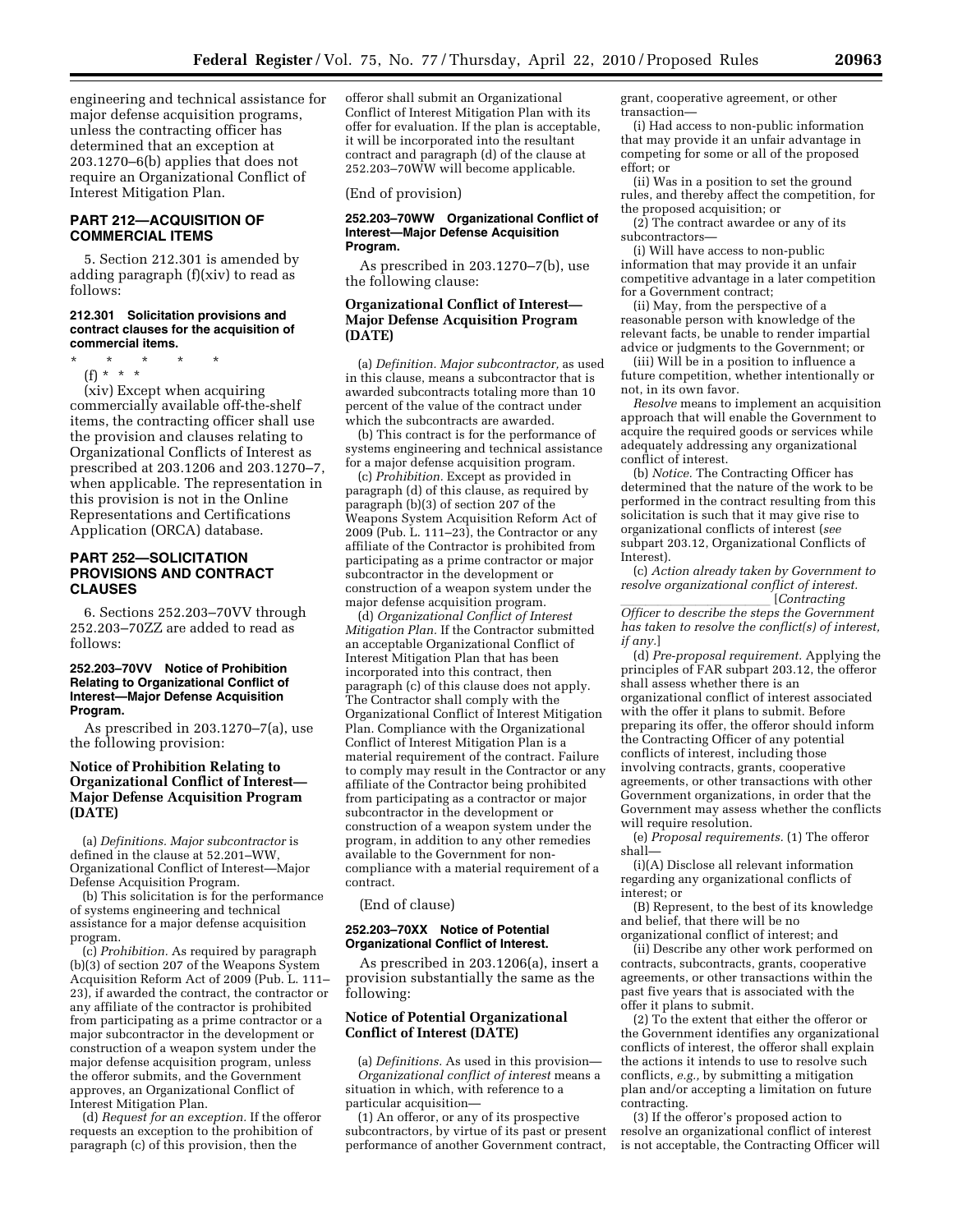engineering and technical assistance for major defense acquisition programs, unless the contracting officer has determined that an exception at 203.1270–6(b) applies that does not require an Organizational Conflict of Interest Mitigation Plan.

### **PART 212—ACQUISITION OF COMMERCIAL ITEMS**

5. Section 212.301 is amended by adding paragraph (f)(xiv) to read as follows:

#### **212.301 Solicitation provisions and contract clauses for the acquisition of commercial items.**

- \* \* \* \* \*
- (f) \* \* \*

(xiv) Except when acquiring commercially available off-the-shelf items, the contracting officer shall use the provision and clauses relating to Organizational Conflicts of Interest as prescribed at 203.1206 and 203.1270–7, when applicable. The representation in this provision is not in the Online Representations and Certifications Application (ORCA) database.

### **PART 252—SOLICITATION PROVISIONS AND CONTRACT CLAUSES**

6. Sections 252.203–70VV through 252.203–70ZZ are added to read as follows:

#### **252.203–70VV Notice of Prohibition Relating to Organizational Conflict of Interest—Major Defense Acquisition Program.**

As prescribed in 203.1270–7(a), use the following provision:

### **Notice of Prohibition Relating to Organizational Conflict of Interest— Major Defense Acquisition Program (DATE)**

(a) *Definitions. Major subcontractor* is defined in the clause at 52.201–WW, Organizational Conflict of Interest—Major Defense Acquisition Program.

(b) This solicitation is for the performance of systems engineering and technical assistance for a major defense acquisition program.

(c) *Prohibition.* As required by paragraph (b)(3) of section 207 of the Weapons System Acquisition Reform Act of 2009 (Pub. L. 111– 23), if awarded the contract, the contractor or any affiliate of the contractor is prohibited from participating as a prime contractor or a major subcontractor in the development or construction of a weapon system under the major defense acquisition program, unless the offeror submits, and the Government approves, an Organizational Conflict of Interest Mitigation Plan.

(d) *Request for an exception.* If the offeror requests an exception to the prohibition of paragraph (c) of this provision, then the

offeror shall submit an Organizational Conflict of Interest Mitigation Plan with its offer for evaluation. If the plan is acceptable, it will be incorporated into the resultant contract and paragraph (d) of the clause at 252.203–70WW will become applicable.

(End of provision)

#### **252.203–70WW Organizational Conflict of Interest—Major Defense Acquisition Program.**

As prescribed in 203.1270–7(b), use the following clause:

### **Organizational Conflict of Interest— Major Defense Acquisition Program (DATE)**

(a) *Definition. Major subcontractor,* as used in this clause, means a subcontractor that is awarded subcontracts totaling more than 10 percent of the value of the contract under which the subcontracts are awarded.

(b) This contract is for the performance of systems engineering and technical assistance for a major defense acquisition program.

(c) *Prohibition.* Except as provided in paragraph (d) of this clause, as required by paragraph (b)(3) of section 207 of the Weapons System Acquisition Reform Act of 2009 (Pub. L. 111–23), the Contractor or any affiliate of the Contractor is prohibited from participating as a prime contractor or major subcontractor in the development or construction of a weapon system under the major defense acquisition program.

(d) *Organizational Conflict of Interest Mitigation Plan.* If the Contractor submitted an acceptable Organizational Conflict of Interest Mitigation Plan that has been incorporated into this contract, then paragraph (c) of this clause does not apply. The Contractor shall comply with the Organizational Conflict of Interest Mitigation Plan. Compliance with the Organizational Conflict of Interest Mitigation Plan is a material requirement of the contract. Failure to comply may result in the Contractor or any affiliate of the Contractor being prohibited from participating as a contractor or major subcontractor in the development or construction of a weapon system under the program, in addition to any other remedies available to the Government for noncompliance with a material requirement of a contract.

(End of clause)

#### **252.203–70XX Notice of Potential Organizational Conflict of Interest.**

As prescribed in 203.1206(a), insert a provision substantially the same as the following:

### **Notice of Potential Organizational Conflict of Interest (DATE)**

(a) *Definitions.* As used in this provision— *Organizational conflict of interest* means a situation in which, with reference to a particular acquisition—

(1) An offeror, or any of its prospective subcontractors, by virtue of its past or present performance of another Government contract, grant, cooperative agreement, or other transaction—

(i) Had access to non-public information that may provide it an unfair advantage in competing for some or all of the proposed effort; or

(ii) Was in a position to set the ground rules, and thereby affect the competition, for the proposed acquisition; or

(2) The contract awardee or any of its subcontractors—

(i) Will have access to non-public information that may provide it an unfair competitive advantage in a later competition for a Government contract;

(ii) May, from the perspective of a reasonable person with knowledge of the relevant facts, be unable to render impartial advice or judgments to the Government; or

(iii) Will be in a position to influence a future competition, whether intentionally or not, in its own favor.

*Resolve* means to implement an acquisition approach that will enable the Government to acquire the required goods or services while adequately addressing any organizational conflict of interest.

(b) *Notice.* The Contracting Officer has determined that the nature of the work to be performed in the contract resulting from this solicitation is such that it may give rise to organizational conflicts of interest (*see*  subpart 203.12, Organizational Conflicts of Interest).

(c) *Action already taken by Government to resolve organizational conflict of interest.* 

*Contracting*<br>*Officer to describe the steps the Government has taken to resolve the conflict(s) of interest, if any.*]

(d) *Pre-proposal requirement.* Applying the principles of FAR subpart 203.12, the offeror shall assess whether there is an organizational conflict of interest associated with the offer it plans to submit. Before preparing its offer, the offeror should inform the Contracting Officer of any potential conflicts of interest, including those involving contracts, grants, cooperative agreements, or other transactions with other Government organizations, in order that the Government may assess whether the conflicts will require resolution.

(e) *Proposal requirements.* (1) The offeror shall—

(i)(A) Disclose all relevant information regarding any organizational conflicts of interest; or

(B) Represent, to the best of its knowledge and belief, that there will be no organizational conflict of interest; and

(ii) Describe any other work performed on contracts, subcontracts, grants, cooperative agreements, or other transactions within the past five years that is associated with the offer it plans to submit.

(2)  $T_0$  the extent that either the offeror or the Government identifies any organizational conflicts of interest, the offeror shall explain the actions it intends to use to resolve such conflicts, *e.g.,* by submitting a mitigation plan and/or accepting a limitation on future contracting.

(3) If the offeror's proposed action to resolve an organizational conflict of interest is not acceptable, the Contracting Officer will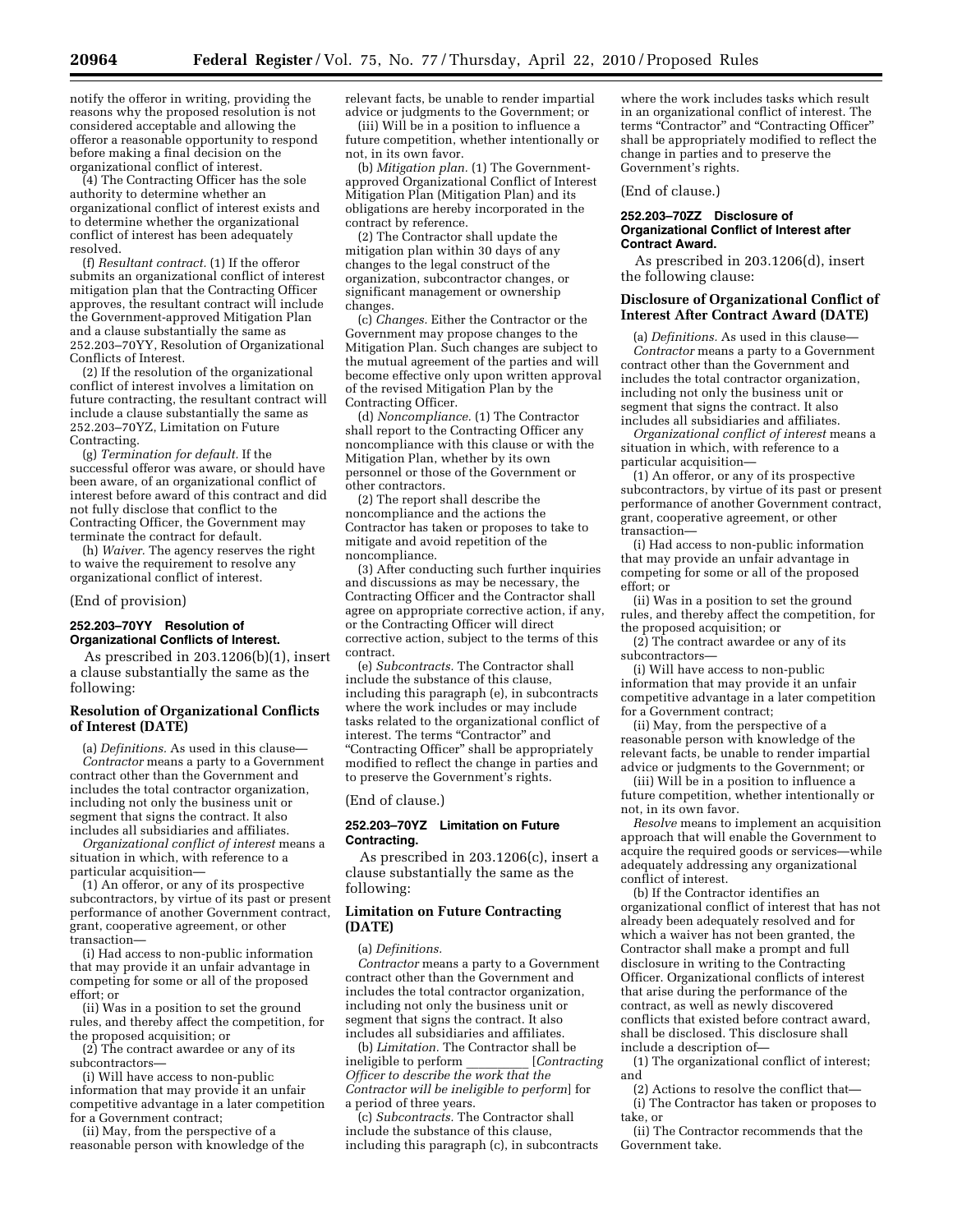notify the offeror in writing, providing the reasons why the proposed resolution is not considered acceptable and allowing the offeror a reasonable opportunity to respond before making a final decision on the organizational conflict of interest.

(4) The Contracting Officer has the sole authority to determine whether an organizational conflict of interest exists and to determine whether the organizational conflict of interest has been adequately resolved.

(f) *Resultant contract.* (1) If the offeror submits an organizational conflict of interest mitigation plan that the Contracting Officer approves, the resultant contract will include the Government-approved Mitigation Plan and a clause substantially the same as 252.203–70YY, Resolution of Organizational Conflicts of Interest.

(2) If the resolution of the organizational conflict of interest involves a limitation on future contracting, the resultant contract will include a clause substantially the same as 252.203–70YZ, Limitation on Future Contracting.

(g) *Termination for default.* If the successful offeror was aware, or should have been aware, of an organizational conflict of interest before award of this contract and did not fully disclose that conflict to the Contracting Officer, the Government may terminate the contract for default.

(h) *Waiver.* The agency reserves the right to waive the requirement to resolve any organizational conflict of interest.

#### (End of provision)

### **252.203–70YY Resolution of Organizational Conflicts of Interest.**

As prescribed in 203.1206(b)(1), insert a clause substantially the same as the following:

### **Resolution of Organizational Conflicts of Interest (DATE)**

(a) *Definitions.* As used in this clause— *Contractor* means a party to a Government contract other than the Government and includes the total contractor organization, including not only the business unit or segment that signs the contract. It also includes all subsidiaries and affiliates.

*Organizational conflict of interest* means a situation in which, with reference to a particular acquisition—

(1) An offeror, or any of its prospective subcontractors, by virtue of its past or present performance of another Government contract, grant, cooperative agreement, or other transaction—

(i) Had access to non-public information that may provide it an unfair advantage in competing for some or all of the proposed effort; or

(ii) Was in a position to set the ground rules, and thereby affect the competition, for the proposed acquisition; or

(2) The contract awardee or any of its subcontractors—

(i) Will have access to non-public information that may provide it an unfair competitive advantage in a later competition for a Government contract;

(ii) May, from the perspective of a reasonable person with knowledge of the relevant facts, be unable to render impartial advice or judgments to the Government; or

(iii) Will be in a position to influence a future competition, whether intentionally or not, in its own favor.

(b) *Mitigation plan.* (1) The Governmentapproved Organizational Conflict of Interest Mitigation Plan (Mitigation Plan) and its obligations are hereby incorporated in the contract by reference.

(2) The Contractor shall update the mitigation plan within 30 days of any changes to the legal construct of the organization, subcontractor changes, or significant management or ownership changes.

(c) *Changes.* Either the Contractor or the Government may propose changes to the Mitigation Plan. Such changes are subject to the mutual agreement of the parties and will become effective only upon written approval of the revised Mitigation Plan by the Contracting Officer.

(d) *Noncompliance.* (1) The Contractor shall report to the Contracting Officer any noncompliance with this clause or with the Mitigation Plan, whether by its own personnel or those of the Government or other contractors.

(2) The report shall describe the noncompliance and the actions the Contractor has taken or proposes to take to mitigate and avoid repetition of the noncompliance.

(3) After conducting such further inquiries and discussions as may be necessary, the Contracting Officer and the Contractor shall agree on appropriate corrective action, if any, or the Contracting Officer will direct corrective action, subject to the terms of this contract.

(e) *Subcontracts.* The Contractor shall include the substance of this clause, including this paragraph (e), in subcontracts where the work includes or may include tasks related to the organizational conflict of interest. The terms "Contractor" and ''Contracting Officer'' shall be appropriately modified to reflect the change in parties and to preserve the Government's rights.

(End of clause.)

#### **252.203–70YZ Limitation on Future Contracting.**

As prescribed in 203.1206(c), insert a clause substantially the same as the following:

### **Limitation on Future Contracting (DATE)**

(a) *Definitions.* 

*Contractor* means a party to a Government contract other than the Government and includes the total contractor organization, including not only the business unit or segment that signs the contract. It also includes all subsidiaries and affiliates.

(b) *Limitation*. The Contractor shall be<br>eligible to perform [Contracting] ineligible to perform \_\_\_\_\_\_\_\_\_\_ [*Contracting Officer to describe the work that the Contractor will be ineligible to perform*] for a period of three years.

(c) *Subcontracts.* The Contractor shall include the substance of this clause, including this paragraph (c), in subcontracts

where the work includes tasks which result in an organizational conflict of interest. The terms "Contractor" and "Contracting Officer" shall be appropriately modified to reflect the change in parties and to preserve the Government's rights.

#### (End of clause.)

#### **252.203–70ZZ Disclosure of Organizational Conflict of Interest after Contract Award.**

As prescribed in 203.1206(d), insert the following clause:

### **Disclosure of Organizational Conflict of Interest After Contract Award (DATE)**

(a) *Definitions.* As used in this clause— *Contractor* means a party to a Government contract other than the Government and includes the total contractor organization, including not only the business unit or segment that signs the contract. It also includes all subsidiaries and affiliates.

*Organizational conflict of interest* means a situation in which, with reference to a particular acquisition—

(1) An offeror, or any of its prospective subcontractors, by virtue of its past or present performance of another Government contract, grant, cooperative agreement, or other transaction—

(i) Had access to non-public information that may provide an unfair advantage in competing for some or all of the proposed effort; or

(ii) Was in a position to set the ground rules, and thereby affect the competition, for the proposed acquisition; or

(2) The contract awardee or any of its subcontractors—

(i) Will have access to non-public information that may provide it an unfair competitive advantage in a later competition for a Government contract;

(ii) May, from the perspective of a reasonable person with knowledge of the relevant facts, be unable to render impartial advice or judgments to the Government; or

(iii) Will be in a position to influence a future competition, whether intentionally or not, in its own favor.

*Resolve* means to implement an acquisition approach that will enable the Government to acquire the required goods or services—while adequately addressing any organizational conflict of interest.

(b) If the Contractor identifies an organizational conflict of interest that has not already been adequately resolved and for which a waiver has not been granted, the Contractor shall make a prompt and full disclosure in writing to the Contracting Officer. Organizational conflicts of interest that arise during the performance of the contract, as well as newly discovered conflicts that existed before contract award, shall be disclosed. This disclosure shall include a description of—

(1) The organizational conflict of interest; and

(2) Actions to resolve the conflict that— (i) The Contractor has taken or proposes to take, or

(ii) The Contractor recommends that the Government take.